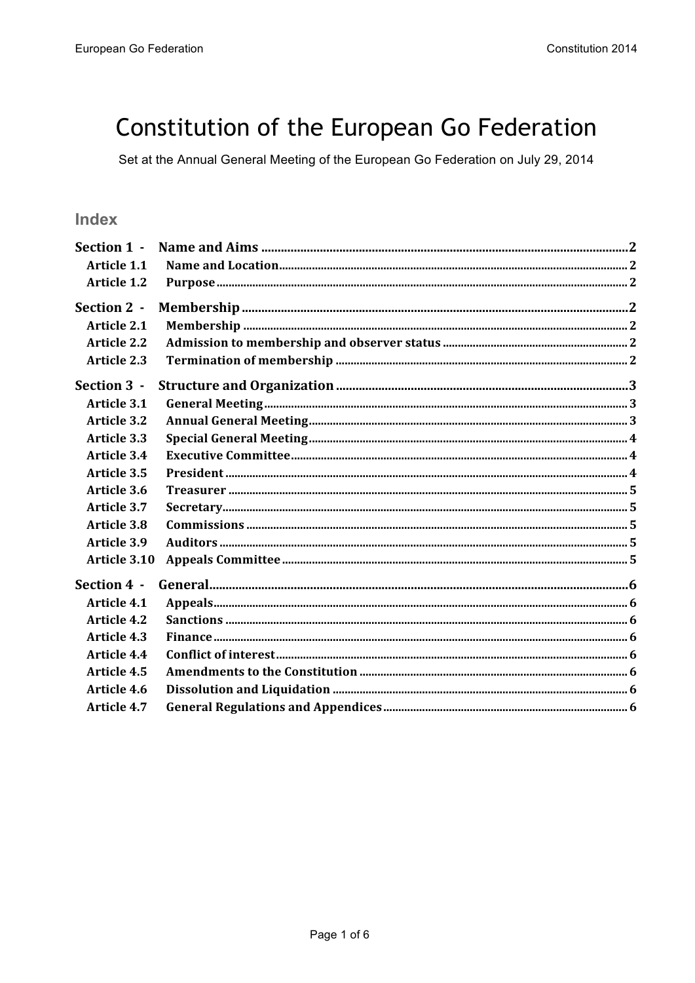# Constitution of the European Go Federation

Set at the Annual General Meeting of the European Go Federation on July 29, 2014

# Index

| Section 1 -        |  |
|--------------------|--|
| <b>Article 1.1</b> |  |
| <b>Article 1.2</b> |  |
| Section 2 -        |  |
| <b>Article 2.1</b> |  |
| <b>Article 2.2</b> |  |
| <b>Article 2.3</b> |  |
| Section 3 -        |  |
| <b>Article 3.1</b> |  |
| <b>Article 3.2</b> |  |
| <b>Article 3.3</b> |  |
| <b>Article 3.4</b> |  |
| <b>Article 3.5</b> |  |
| Article 3.6        |  |
| <b>Article 3.7</b> |  |
| <b>Article 3.8</b> |  |
| <b>Article 3.9</b> |  |
| Article 3.10       |  |
| Section 4 -        |  |
| <b>Article 4.1</b> |  |
| <b>Article 4.2</b> |  |
| <b>Article 4.3</b> |  |
| <b>Article 4.4</b> |  |
| Article 4.5        |  |
| Article 4.6        |  |
| <b>Article 4.7</b> |  |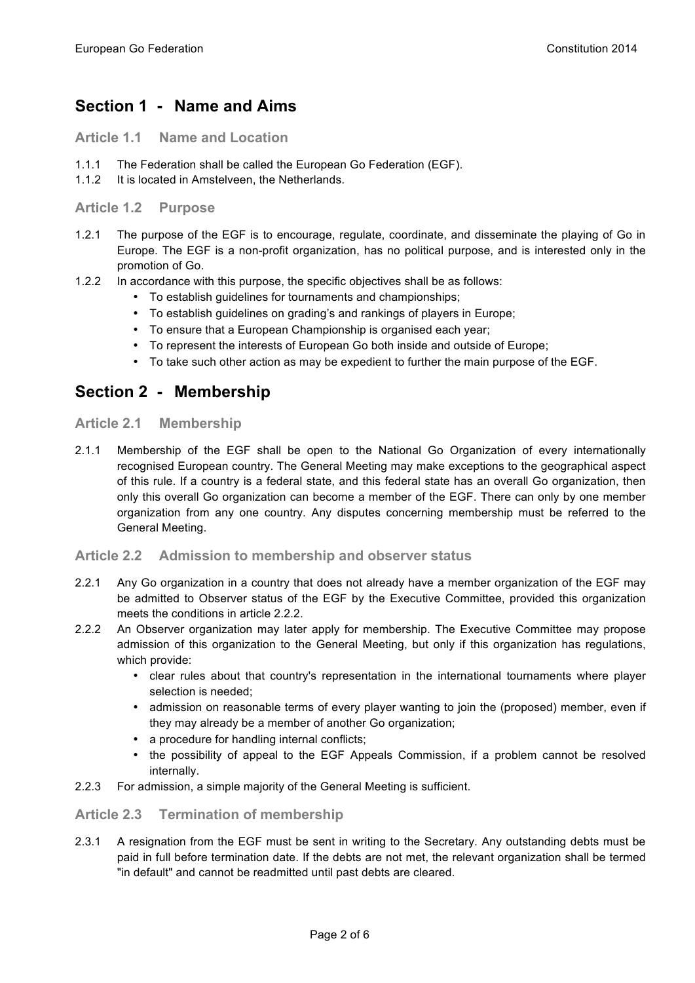# **Section 1 - Name and Aims**

**Article 1.1 Name and Location**

- 1.1.1 The Federation shall be called the European Go Federation (EGF).
- 1.1.2 It is located in Amstelveen, the Netherlands.

**Article 1.2 Purpose**

- 1.2.1 The purpose of the EGF is to encourage, regulate, coordinate, and disseminate the playing of Go in Europe. The EGF is a non-profit organization, has no political purpose, and is interested only in the promotion of Go.
- 1.2.2 In accordance with this purpose, the specific objectives shall be as follows:
	- To establish guidelines for tournaments and championships;
	- To establish guidelines on grading's and rankings of players in Europe;
	- To ensure that a European Championship is organised each year;
	- To represent the interests of European Go both inside and outside of Europe;
	- To take such other action as may be expedient to further the main purpose of the EGF.

# **Section 2 - Membership**

### **Article 2.1 Membership**

2.1.1 Membership of the EGF shall be open to the National Go Organization of every internationally recognised European country. The General Meeting may make exceptions to the geographical aspect of this rule. If a country is a federal state, and this federal state has an overall Go organization, then only this overall Go organization can become a member of the EGF. There can only by one member organization from any one country. Any disputes concerning membership must be referred to the General Meeting.

# **Article 2.2 Admission to membership and observer status**

- 2.2.1 Any Go organization in a country that does not already have a member organization of the EGF may be admitted to Observer status of the EGF by the Executive Committee, provided this organization meets the conditions in article 2.2.2.
- 2.2.2 An Observer organization may later apply for membership. The Executive Committee may propose admission of this organization to the General Meeting, but only if this organization has regulations, which provide:
	- clear rules about that country's representation in the international tournaments where player selection is needed;
	- admission on reasonable terms of every player wanting to join the (proposed) member, even if they may already be a member of another Go organization;
	- a procedure for handling internal conflicts;
	- the possibility of appeal to the EGF Appeals Commission, if a problem cannot be resolved internally.
- 2.2.3 For admission, a simple majority of the General Meeting is sufficient.

# **Article 2.3 Termination of membership**

2.3.1 A resignation from the EGF must be sent in writing to the Secretary. Any outstanding debts must be paid in full before termination date. If the debts are not met, the relevant organization shall be termed "in default" and cannot be readmitted until past debts are cleared.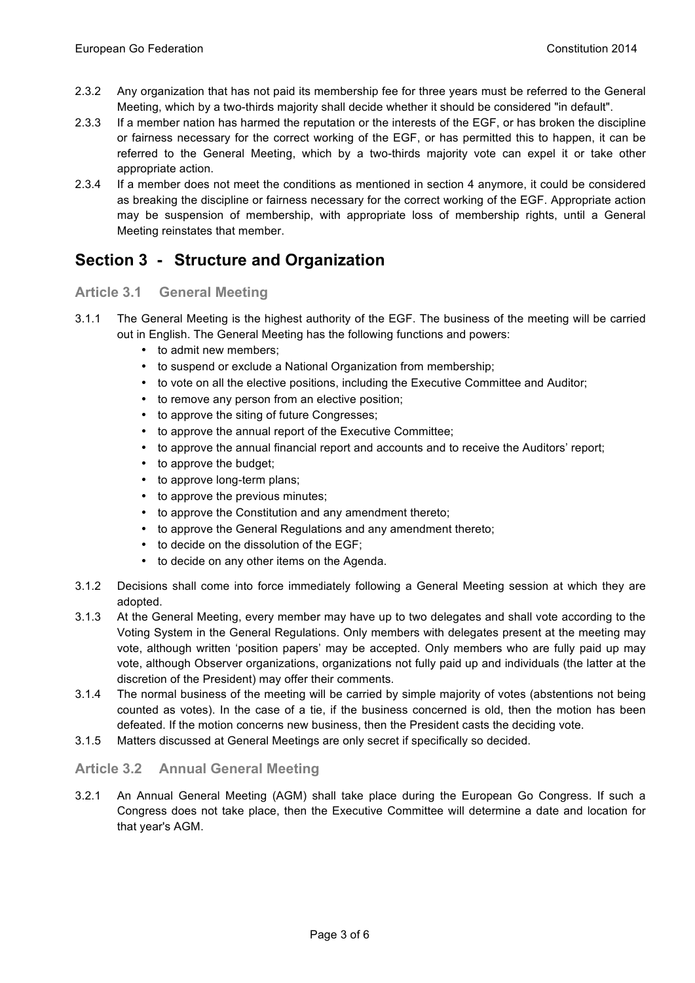- 2.3.2 Any organization that has not paid its membership fee for three years must be referred to the General Meeting, which by a two-thirds majority shall decide whether it should be considered "in default".
- 2.3.3 If a member nation has harmed the reputation or the interests of the EGF, or has broken the discipline or fairness necessary for the correct working of the EGF, or has permitted this to happen, it can be referred to the General Meeting, which by a two-thirds majority vote can expel it or take other appropriate action.
- 2.3.4 If a member does not meet the conditions as mentioned in section 4 anymore, it could be considered as breaking the discipline or fairness necessary for the correct working of the EGF. Appropriate action may be suspension of membership, with appropriate loss of membership rights, until a General Meeting reinstates that member.

# **Section 3 - Structure and Organization**

# **Article 3.1 General Meeting**

- 3.1.1 The General Meeting is the highest authority of the EGF. The business of the meeting will be carried out in English. The General Meeting has the following functions and powers:
	- to admit new members;
	- to suspend or exclude a National Organization from membership;
	- to vote on all the elective positions, including the Executive Committee and Auditor;
	- to remove any person from an elective position;
	- to approve the siting of future Congresses;
	- to approve the annual report of the Executive Committee;
	- to approve the annual financial report and accounts and to receive the Auditors' report;
	- to approve the budget;
	- to approve long-term plans;
	- to approve the previous minutes;
	- to approve the Constitution and any amendment thereto;
	- to approve the General Regulations and any amendment thereto;
	- to decide on the dissolution of the EGF;
	- to decide on any other items on the Agenda.
- 3.1.2 Decisions shall come into force immediately following a General Meeting session at which they are adopted.
- 3.1.3 At the General Meeting, every member may have up to two delegates and shall vote according to the Voting System in the General Regulations. Only members with delegates present at the meeting may vote, although written 'position papers' may be accepted. Only members who are fully paid up may vote, although Observer organizations, organizations not fully paid up and individuals (the latter at the discretion of the President) may offer their comments.
- 3.1.4 The normal business of the meeting will be carried by simple majority of votes (abstentions not being counted as votes). In the case of a tie, if the business concerned is old, then the motion has been defeated. If the motion concerns new business, then the President casts the deciding vote.
- 3.1.5 Matters discussed at General Meetings are only secret if specifically so decided.

# **Article 3.2 Annual General Meeting**

3.2.1 An Annual General Meeting (AGM) shall take place during the European Go Congress. If such a Congress does not take place, then the Executive Committee will determine a date and location for that year's AGM.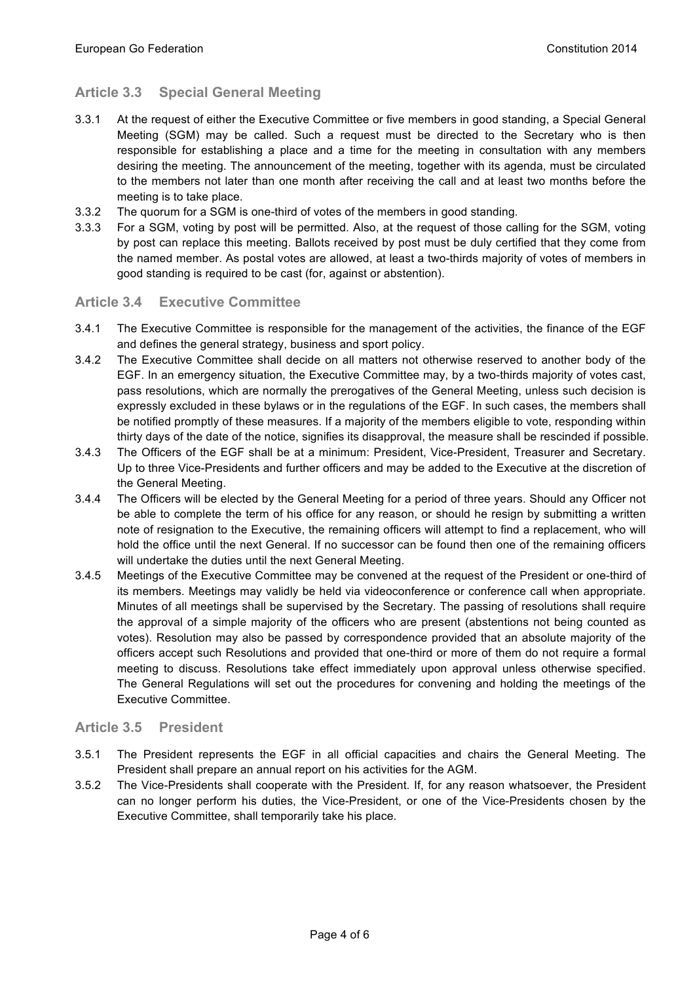# **Article 3.3 Special General Meeting**

- 3.3.1 At the request of either the Executive Committee or five members in good standing, a Special General Meeting (SGM) may be called. Such a request must be directed to the Secretary who is then responsible for establishing a place and a time for the meeting in consultation with any members desiring the meeting. The announcement of the meeting, together with its agenda, must be circulated to the members not later than one month after receiving the call and at least two months before the meeting is to take place.
- 3.3.2 The quorum for a SGM is one-third of votes of the members in good standing.
- 3.3.3 For a SGM, voting by post will be permitted. Also, at the request of those calling for the SGM, voting by post can replace this meeting. Ballots received by post must be duly certified that they come from the named member. As postal votes are allowed, at least a two-thirds majority of votes of members in good standing is required to be cast (for, against or abstention).

### **Article 3.4 Executive Committee**

- 3.4.1 The Executive Committee is responsible for the management of the activities, the finance of the EGF and defines the general strategy, business and sport policy.
- 3.4.2 The Executive Committee shall decide on all matters not otherwise reserved to another body of the EGF. In an emergency situation, the Executive Committee may, by a two-thirds majority of votes cast, pass resolutions, which are normally the prerogatives of the General Meeting, unless such decision is expressly excluded in these bylaws or in the regulations of the EGF. In such cases, the members shall be notified promptly of these measures. If a majority of the members eligible to vote, responding within thirty days of the date of the notice, signifies its disapproval, the measure shall be rescinded if possible.
- 3.4.3 The Officers of the EGF shall be at a minimum: President, Vice-President, Treasurer and Secretary. Up to three Vice-Presidents and further officers and may be added to the Executive at the discretion of the General Meeting.
- 3.4.4 The Officers will be elected by the General Meeting for a period of three years. Should any Officer not be able to complete the term of his office for any reason, or should he resign by submitting a written note of resignation to the Executive, the remaining officers will attempt to find a replacement, who will hold the office until the next General. If no successor can be found then one of the remaining officers will undertake the duties until the next General Meeting.
- 3.4.5 Meetings of the Executive Committee may be convened at the request of the President or one-third of its members. Meetings may validly be held via videoconference or conference call when appropriate. Minutes of all meetings shall be supervised by the Secretary. The passing of resolutions shall require the approval of a simple majority of the officers who are present (abstentions not being counted as votes). Resolution may also be passed by correspondence provided that an absolute majority of the officers accept such Resolutions and provided that one-third or more of them do not require a formal meeting to discuss. Resolutions take effect immediately upon approval unless otherwise specified. The General Regulations will set out the procedures for convening and holding the meetings of the Executive Committee.

#### **Article 3.5 President**

- 3.5.1 The President represents the EGF in all official capacities and chairs the General Meeting. The President shall prepare an annual report on his activities for the AGM.
- 3.5.2 The Vice-Presidents shall cooperate with the President. If, for any reason whatsoever, the President can no longer perform his duties, the Vice-President, or one of the Vice-Presidents chosen by the Executive Committee, shall temporarily take his place.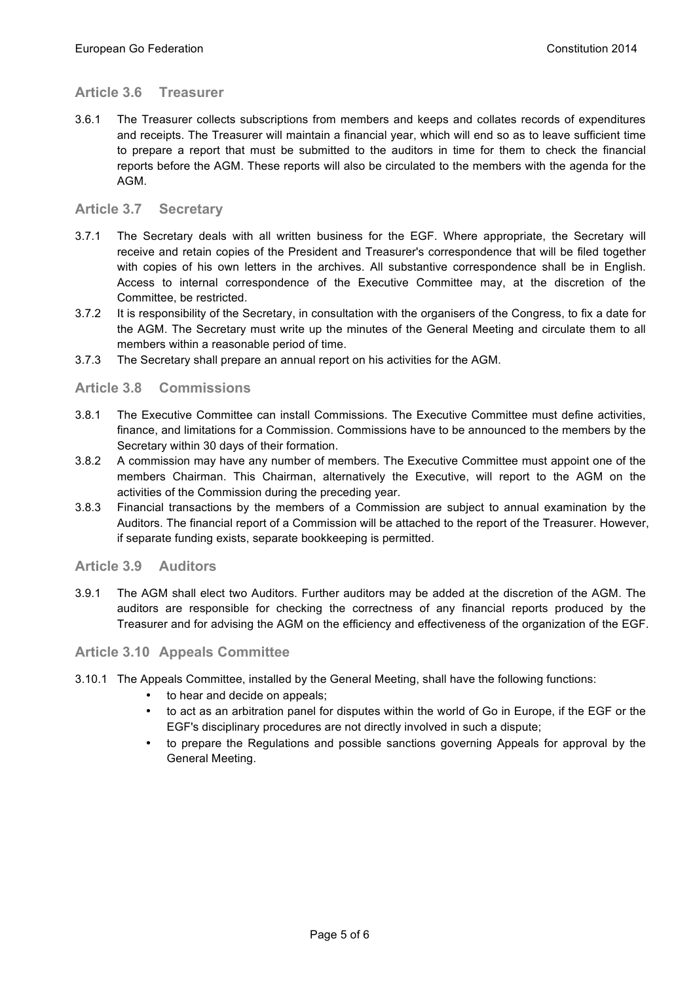# **Article 3.6 Treasurer**

3.6.1 The Treasurer collects subscriptions from members and keeps and collates records of expenditures and receipts. The Treasurer will maintain a financial year, which will end so as to leave sufficient time to prepare a report that must be submitted to the auditors in time for them to check the financial reports before the AGM. These reports will also be circulated to the members with the agenda for the AGM.

# **Article 3.7 Secretary**

- 3.7.1 The Secretary deals with all written business for the EGF. Where appropriate, the Secretary will receive and retain copies of the President and Treasurer's correspondence that will be filed together with copies of his own letters in the archives. All substantive correspondence shall be in English. Access to internal correspondence of the Executive Committee may, at the discretion of the Committee, be restricted.
- 3.7.2 It is responsibility of the Secretary, in consultation with the organisers of the Congress, to fix a date for the AGM. The Secretary must write up the minutes of the General Meeting and circulate them to all members within a reasonable period of time.
- 3.7.3 The Secretary shall prepare an annual report on his activities for the AGM.

### **Article 3.8 Commissions**

- 3.8.1 The Executive Committee can install Commissions. The Executive Committee must define activities, finance, and limitations for a Commission. Commissions have to be announced to the members by the Secretary within 30 days of their formation.
- 3.8.2 A commission may have any number of members. The Executive Committee must appoint one of the members Chairman. This Chairman, alternatively the Executive, will report to the AGM on the activities of the Commission during the preceding year.
- 3.8.3 Financial transactions by the members of a Commission are subject to annual examination by the Auditors. The financial report of a Commission will be attached to the report of the Treasurer. However, if separate funding exists, separate bookkeeping is permitted.

#### **Article 3.9 Auditors**

3.9.1 The AGM shall elect two Auditors. Further auditors may be added at the discretion of the AGM. The auditors are responsible for checking the correctness of any financial reports produced by the Treasurer and for advising the AGM on the efficiency and effectiveness of the organization of the EGF.

#### **Article 3.10 Appeals Committee**

- 3.10.1 The Appeals Committee, installed by the General Meeting, shall have the following functions:
	- to hear and decide on appeals;
	- to act as an arbitration panel for disputes within the world of Go in Europe, if the EGF or the EGF's disciplinary procedures are not directly involved in such a dispute;
	- to prepare the Regulations and possible sanctions governing Appeals for approval by the General Meeting.